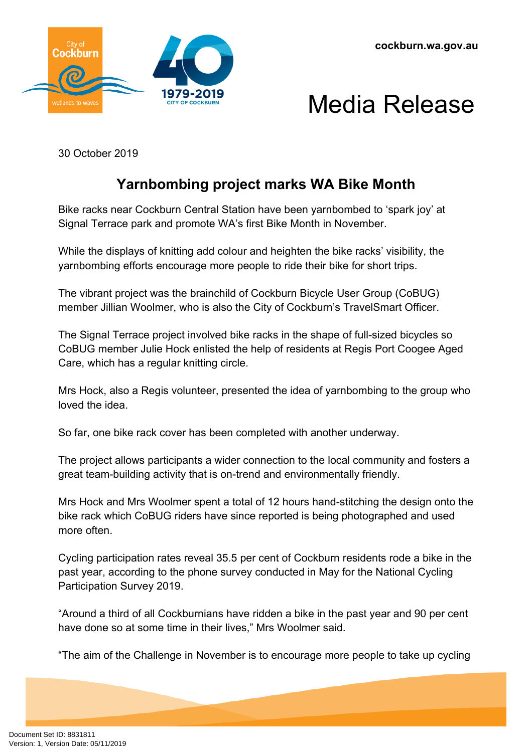



30 October 2019

## **Yarnbombing project marks WA Bike Month**

Bike racks near Cockburn Central Station have been yarnbombed to 'spark joy' at Signal Terrace park and promote WA's first Bike Month in November.

While the displays of knitting add colour and heighten the bike racks' visibility, the yarnbombing efforts encourage more people to ride their bike for short trips.

The vibrant project was the brainchild of Cockburn Bicycle User Group (CoBUG) member Jillian Woolmer, who is also the City of Cockburn's TravelSmart Officer.

The Signal Terrace project involved bike racks in the shape of full-sized bicycles so CoBUG member Julie Hock enlisted the help of residents at Regis Port Coogee Aged Care, which has a regular knitting circle.

Mrs Hock, also a Regis volunteer, presented the idea of yarnbombing to the group who loved the idea.

So far, one bike rack cover has been completed with another underway.

The project allows participants a wider connection to the local community and fosters a great team-building activity that is on-trend and environmentally friendly.

Mrs Hock and Mrs Woolmer spent a total of 12 hours hand-stitching the design onto the bike rack which CoBUG riders have since reported is being photographed and used more often.

Cycling participation rates reveal 35.5 per cent of Cockburn residents rode a bike in the past year, according to the phone survey conducted in May for the National Cycling Participation Survey 2019.

"Around a third of all Cockburnians have ridden a bike in the past year and 90 per cent have done so at some time in their lives," Mrs Woolmer said.

"The aim of the Challenge in November is to encourage more people to take up cycling

Document Set ID: 8831811<br>Version: 1, Version Date: 05/11/2019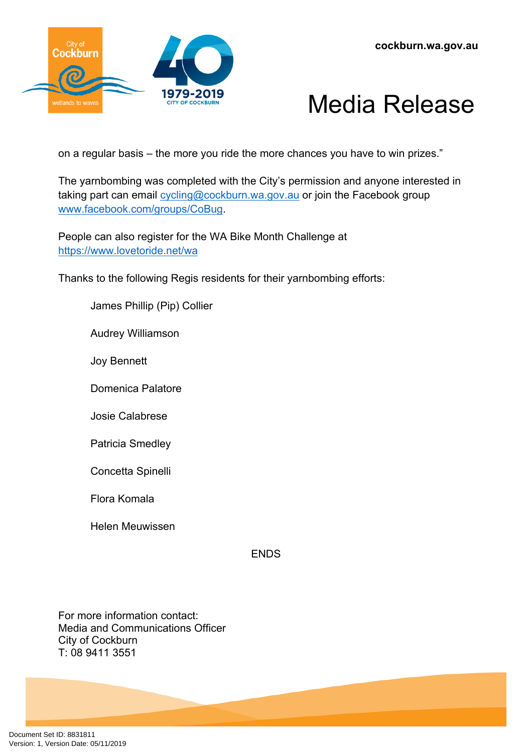

## Media Release

on a regular basis – the more you ride the more chances you have to win prizes."

The yarnbombing was completed with the City's permission and anyone interested in taking part can email [cycling@cockburn.wa.gov.au](mailto:cycling@cockburn.wa.gov.au) or join the Facebook group [www.facebook.com/groups/CoBug](http://www.facebook.com/groups/CoBug).

People can also register for the WA Bike Month Challenge at <https://www.lovetoride.net/wa>

Thanks to the following Regis residents for their yarnbombing efforts:

James Phillip (Pip) Collier

Audrey Williamson

Joy Bennett

Domenica Palatore

Josie Calabrese

Patricia Smedley

Concetta Spinelli

Flora Komala

Helen Meuwissen

**FNDS** 

For more information contact: Media and Communications Officer City of Cockburn T: 08 9411 3551